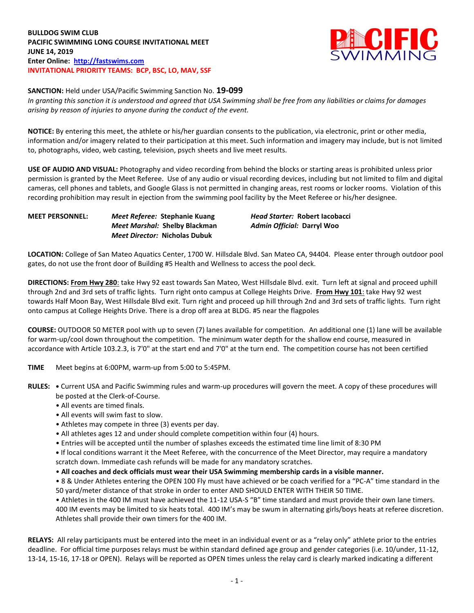**BULLDOG SWIM CLUB PACIFIC SWIMMING LONG COURSE INVITATIONAL MEET JUNE 14, 2019 Enter Online: [http://fastswims.com](http://fastswims.com/) INVITATIONAL PRIORITY TEAMS: BCP, BSC, LO, MAV, SSF**



**SANCTION:** Held under USA/Pacific Swimming Sanction No. **19-099**

*In granting this sanction it is understood and agreed that USA Swimming shall be free from any liabilities or claims for damages arising by reason of injuries to anyone during the conduct of the event.*

**NOTICE:** By entering this meet, the athlete or his/her guardian consents to the publication, via electronic, print or other media, information and/or imagery related to their participation at this meet. Such information and imagery may include, but is not limited to, photographs, video, web casting, television, psych sheets and live meet results.

**USE OF AUDIO AND VISUAL:** Photography and video recording from behind the blocks or starting areas is prohibited unless prior permission is granted by the Meet Referee. Use of any audio or visual recording devices, including but not limited to film and digital cameras, cell phones and tablets, and Google Glass is not permitted in changing areas, rest rooms or locker rooms. Violation of this recording prohibition may result in ejection from the swimming pool facility by the Meet Referee or his/her designee.

## **MEET PERSONNEL:** *Meet Referee:* **Stephanie Kuang** *Head Starter:* **Robert Iacobacci** *Meet Marshal:* **Shelby Blackman** *Admin Official:* **Darryl Woo** *Meet Director:* **Nicholas Dubuk**

**LOCATION:** College of San Mateo Aquatics Center, 1700 W. Hillsdale Blvd. San Mateo CA, 94404. Please enter through outdoor pool gates, do not use the front door of Building #5 Health and Wellness to access the pool deck.

**DIRECTIONS: From Hwy 280**: take Hwy 92 east towards San Mateo, West Hillsdale Blvd. exit. Turn left at signal and proceed uphill through 2nd and 3rd sets of traffic lights. Turn right onto campus at College Heights Drive. **From Hwy 101**: take Hwy 92 west towards Half Moon Bay, West Hillsdale Blvd exit. Turn right and proceed up hill through 2nd and 3rd sets of traffic lights. Turn right onto campus at College Heights Drive. There is a drop off area at BLDG. #5 near the flagpoles

**COURSE:** OUTDOOR 50 METER pool with up to seven (7) lanes available for competition. An additional one (1) lane will be available for warm-up/cool down throughout the competition. The minimum water depth for the shallow end course, measured in accordance with Article 103.2.3, is 7'0" at the start end and 7'0" at the turn end. The competition course has not been certified

**TIME** Meet begins at 6:00PM, warm-up from 5:00 to 5:45PM.

- **RULES: •** Current USA and Pacific Swimming rules and warm-up procedures will govern the meet. A copy of these procedures will be posted at the Clerk-of-Course.
	- All events are timed finals.
	- All events will swim fast to slow.
	- Athletes may compete in three (3) events per day.
	- All athletes ages 12 and under should complete competition within four (4) hours.
	- Entries will be accepted until the number of splashes exceeds the estimated time line limit of 8:30 PM

**•** If local conditions warrant it the Meet Referee, with the concurrence of the Meet Director, may require a mandatory scratch down. Immediate cash refunds will be made for any mandatory scratches.

• **All coaches and deck officials must wear their USA Swimming membership cards in a visible manner.** 

• 8 & Under Athletes entering the OPEN 100 Fly must have achieved or be coach verified for a "PC-A" time standard in the 50 yard/meter distance of that stroke in order to enter AND SHOULD ENTER WITH THEIR 50 TIME.

• Athletes in the 400 IM must have achieved the 11-12 USA-S "B" time standard and must provide their own lane timers. 400 IM events may be limited to six heats total. 400 IM's may be swum in alternating girls/boys heats at referee discretion. Athletes shall provide their own timers for the 400 IM.

**RELAYS:** All relay participants must be entered into the meet in an individual event or as a "relay only" athlete prior to the entries deadline. For official time purposes relays must be within standard defined age group and gender categories (i.e. 10/under, 11-12, 13-14, 15-16, 17-18 or OPEN). Relays will be reported as OPEN times unless the relay card is clearly marked indicating a different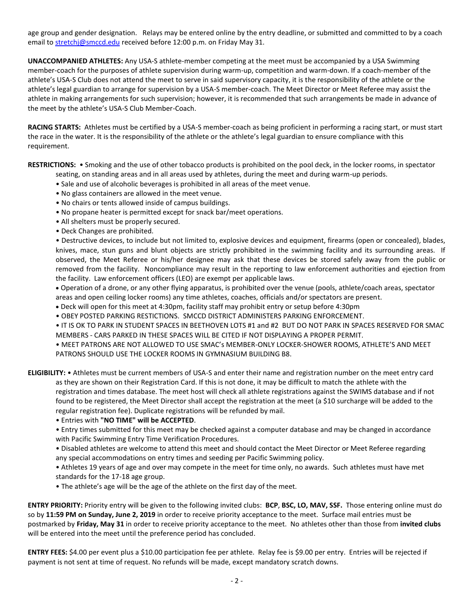age group and gender designation. Relays may be entered online by the entry deadline, or submitted and committed to by a coach email t[o stretchj@smccd.edu](mailto:stretchj@smccd.edu) received before 12:00 p.m. on Friday May 31.

**UNACCOMPANIED ATHLETES:** Any USA-S athlete-member competing at the meet must be accompanied by a USA Swimming member-coach for the purposes of athlete supervision during warm-up, competition and warm-down. If a coach-member of the athlete's USA-S Club does not attend the meet to serve in said supervisory capacity, it is the responsibility of the athlete or the athlete's legal guardian to arrange for supervision by a USA-S member-coach. The Meet Director or Meet Referee may assist the athlete in making arrangements for such supervision; however, it is recommended that such arrangements be made in advance of the meet by the athlete's USA-S Club Member-Coach.

**RACING STARTS:** Athletes must be certified by a USA-S member-coach as being proficient in performing a racing start, or must start the race in the water. It is the responsibility of the athlete or the athlete's legal guardian to ensure compliance with this requirement.

**RESTRICTIONS:** • Smoking and the use of other tobacco products is prohibited on the pool deck, in the locker rooms, in spectator

- seating, on standing areas and in all areas used by athletes, during the meet and during warm-up periods.
- Sale and use of alcoholic beverages is prohibited in all areas of the meet venue.
- No glass containers are allowed in the meet venue.
- No chairs or tents allowed inside of campus buildings.
- No propane heater is permitted except for snack bar/meet operations.
- All shelters must be properly secured.
- Deck Changes are prohibited.

• Destructive devices, to include but not limited to, explosive devices and equipment, firearms (open or concealed), blades, knives, mace, stun guns and blunt objects are strictly prohibited in the swimming facility and its surrounding areas. If observed, the Meet Referee or his/her designee may ask that these devices be stored safely away from the public or removed from the facility. Noncompliance may result in the reporting to law enforcement authorities and ejection from the facility. Law enforcement officers (LEO) are exempt per applicable laws.

 Operation of a drone, or any other flying apparatus, is prohibited over the venue (pools, athlete/coach areas, spectator areas and open ceiling locker rooms) any time athletes, coaches, officials and/or spectators are present.

- Deck will open for this meet at 4:30pm, facility staff may prohibit entry or setup before 4:30pm
- OBEY POSTED PARKING RESTICTIONS. SMCCD DISTRICT ADMINISTERS PARKING ENFORCEMENT.

• IT IS OK TO PARK IN STUDENT SPACES IN BEETHOVEN LOTS #1 and #2 BUT DO NOT PARK IN SPACES RESERVED FOR SMAC MEMBERS - CARS PARKED IN THESE SPACES WILL BE CITED IF NOT DISPLAYING A PROPER PERMIT.

• MEET PATRONS ARE NOT ALLOWED TO USE SMAC's MEMBER-ONLY LOCKER-SHOWER ROOMS, ATHLETE'S AND MEET PATRONS SHOULD USE THE LOCKER ROOMS IN GYMNASIUM BUILDING B8.

**ELIGIBILITY:** • Athletes must be current members of USA-S and enter their name and registration number on the meet entry card as they are shown on their Registration Card. If this is not done, it may be difficult to match the athlete with the registration and times database. The meet host will check all athlete registrations against the SWIMS database and if not found to be registered, the Meet Director shall accept the registration at the meet (a \$10 surcharge will be added to the regular registration fee). Duplicate registrations will be refunded by mail.

## • Entries with **"NO TIME" will be ACCEPTED**.

• Entry times submitted for this meet may be checked against a computer database and may be changed in accordance with Pacific Swimming Entry Time Verification Procedures.

• Disabled athletes are welcome to attend this meet and should contact the Meet Director or Meet Referee regarding any special accommodations on entry times and seeding per Pacific Swimming policy.

• Athletes 19 years of age and over may compete in the meet for time only, no awards. Such athletes must have met standards for the 17-18 age group.

• The athlete's age will be the age of the athlete on the first day of the meet.

**ENTRY PRIORITY:** Priority entry will be given to the following invited clubs: **BCP**, **BSC, LO, MAV, SSF.** Those entering online must do so by **11:59 PM on Sunday, June 2, 2019** in order to receive priority acceptance to the meet. Surface mail entries must be postmarked by **Friday, May 31** in order to receive priority acceptance to the meet. No athletes other than those from **invited clubs** will be entered into the meet until the preference period has concluded.

**ENTRY FEES:** \$4.00 per event plus a \$10.00 participation fee per athlete. Relay fee is \$9.00 per entry. Entries will be rejected if payment is not sent at time of request. No refunds will be made, except mandatory scratch downs.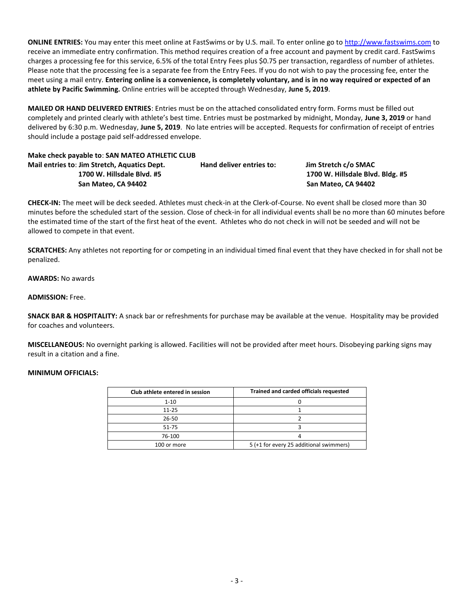**ONLINE ENTRIES:** You may enter this meet online at FastSwims or by U.S. mail. To enter online go t[o http://www.fastswims.com](http://www.fastswims.com/) to receive an immediate entry confirmation. This method requires creation of a free account and payment by credit card. FastSwims charges a processing fee for this service, 6.5% of the total Entry Fees plus \$0.75 per transaction, regardless of number of athletes. Please note that the processing fee is a separate fee from the Entry Fees. If you do not wish to pay the processing fee, enter the meet using a mail entry. **Entering online is a convenience, is completely voluntary, and is in no way required or expected of an athlete by Pacific Swimming.** Online entries will be accepted through Wednesday, **June 5, 2019**.

**MAILED OR HAND DELIVERED ENTRIES**: Entries must be on the attached consolidated entry form. Forms must be filled out completely and printed clearly with athlete's best time. Entries must be postmarked by midnight, Monday, **June 3, 2019** or hand delivered by 6:30 p.m. Wednesday, **June 5, 2019**. No late entries will be accepted. Requests for confirmation of receipt of entries should include a postage paid self-addressed envelope.

# **Make check payable to**: **SAN MATEO ATHLETIC CLUB**

| Mail entries to: Jim Stretch, Aquatics Dept. | Hand deliver entries to: | Jim Stretch c/o SMAC   |  |  |
|----------------------------------------------|--------------------------|------------------------|--|--|
| 1700 W. Hillsdale Blyd. #5                   |                          | 1700 W. Hillsdale Blyd |  |  |
| San Mateo, CA 94402                          |                          | San Mateo, CA 94402    |  |  |

**1700 W. Hillsdale Blvd. #5 1700 W. Hillsdale Blvd. Bldg. #5 San Mateo, CA 94402 San Mateo, CA 94402**

**CHECK-IN:** The meet will be deck seeded. Athletes must check-in at the Clerk-of-Course. No event shall be closed more than 30 minutes before the scheduled start of the session. Close of check-in for all individual events shall be no more than 60 minutes before the estimated time of the start of the first heat of the event. Athletes who do not check in will not be seeded and will not be allowed to compete in that event.

**SCRATCHES:** Any athletes not reporting for or competing in an individual timed final event that they have checked in for shall not be penalized.

**AWARDS:** No awards

**ADMISSION:** Free.

**SNACK BAR & HOSPITALITY:** A snack bar or refreshments for purchase may be available at the venue. Hospitality may be provided for coaches and volunteers.

**MISCELLANEOUS:** No overnight parking is allowed. Facilities will not be provided after meet hours. Disobeying parking signs may result in a citation and a fine.

# **MINIMUM OFFICIALS:**

| Club athlete entered in session | Trained and carded officials requested  |  |  |  |  |
|---------------------------------|-----------------------------------------|--|--|--|--|
| $1 - 10$                        |                                         |  |  |  |  |
| $11 - 25$                       |                                         |  |  |  |  |
| 26-50                           |                                         |  |  |  |  |
| 51-75                           |                                         |  |  |  |  |
| 76-100                          |                                         |  |  |  |  |
| 100 or more                     | 5 (+1 for every 25 additional swimmers) |  |  |  |  |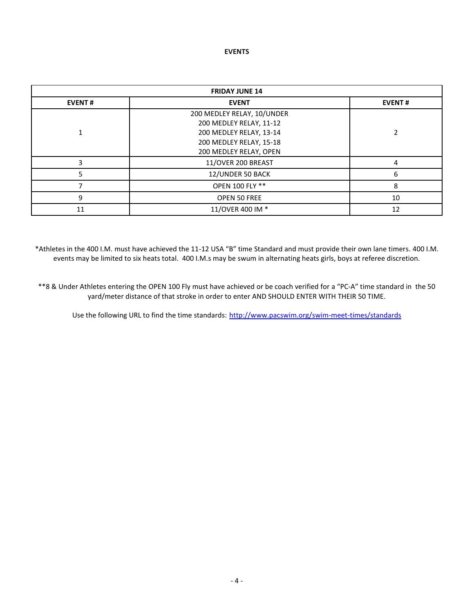#### **EVENTS**

| <b>FRIDAY JUNE 14</b> |                                                                                                             |    |  |  |  |
|-----------------------|-------------------------------------------------------------------------------------------------------------|----|--|--|--|
| <b>EVENT#</b>         | <b>EVENT#</b>                                                                                               |    |  |  |  |
|                       | 200 MEDLEY RELAY, 10/UNDER<br>200 MEDLEY RELAY, 11-12<br>200 MEDLEY RELAY, 13-14<br>200 MEDLEY RELAY, 15-18 |    |  |  |  |
|                       | 200 MEDLEY RELAY, OPEN                                                                                      |    |  |  |  |
| ς                     | 11/OVER 200 BREAST                                                                                          | 4  |  |  |  |
|                       | 12/UNDER 50 BACK                                                                                            | 6  |  |  |  |
|                       | OPEN 100 FLY **                                                                                             | 8  |  |  |  |
| 9                     | <b>OPEN 50 FREE</b>                                                                                         | 10 |  |  |  |
| 11                    | 11/OVER 400 IM *                                                                                            | 12 |  |  |  |

\*Athletes in the 400 I.M. must have achieved the 11-12 USA "B" time Standard and must provide their own lane timers. 400 I.M. events may be limited to six heats total. 400 I.M.s may be swum in alternating heats girls, boys at referee discretion.

\*\*8 & Under Athletes entering the OPEN 100 Fly must have achieved or be coach verified for a "PC-A" time standard in the 50 yard/meter distance of that stroke in order to enter AND SHOULD ENTER WITH THEIR 50 TIME.

Use the following URL to find the time standards: <http://www.pacswim.org/swim-meet-times/standards>